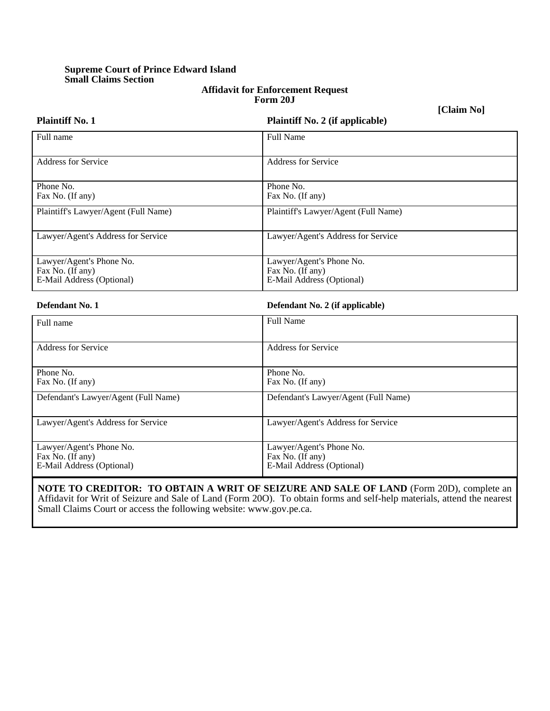## **Supreme Court of Prince Edward Island Small Claims Section**

Fax No. (If any)

E-Mail Address (Optional)

#### **Affidavit for Enforcement Request Form 20J**

**[Claim No]**

| <b>Plaintiff No. 1</b>                                                    | <b>Plaintiff No. 2 (if applicable)</b>                                    |
|---------------------------------------------------------------------------|---------------------------------------------------------------------------|
| Full name                                                                 | Full Name                                                                 |
| <b>Address for Service</b>                                                | <b>Address for Service</b>                                                |
| Phone No.<br>Fax No. (If any)                                             | Phone No.<br>Fax No. (If any)                                             |
| Plaintiff's Lawyer/Agent (Full Name)                                      | Plaintiff's Lawyer/Agent (Full Name)                                      |
| Lawyer/Agent's Address for Service                                        | Lawyer/Agent's Address for Service                                        |
| Lawyer/Agent's Phone No.<br>Fax No. (If any)<br>E-Mail Address (Optional) | Lawyer/Agent's Phone No.<br>Fax No. (If any)<br>E-Mail Address (Optional) |
| Defendant No. 1                                                           | Defendant No. 2 (if applicable)                                           |
| Full name                                                                 | <b>Full Name</b>                                                          |
| <b>Address for Service</b>                                                | <b>Address for Service</b>                                                |
| Phone No.<br>Fax No. (If any)                                             | Phone No.<br>Fax No. (If any)                                             |
| Defendant's Lawyer/Agent (Full Name)                                      | Defendant's Lawyer/Agent (Full Name)                                      |
| Lawyer/Agent's Address for Service                                        | Lawyer/Agent's Address for Service                                        |
| Lawyer/Agent's Phone No.                                                  | Lawyer/Agent's Phone No.                                                  |

**NOTE TO CREDITOR: TO OBTAIN A WRIT OF SEIZURE AND SALE OF LAND** (Form 20D), complete an Affidavit for Writ of Seizure and Sale of Land (Form 20O). To obtain forms and self-help materials, attend the nearest Small Claims Court or access the following website: www.gov.pe.ca.

Fax No. (If any)

E-Mail Address (Optional)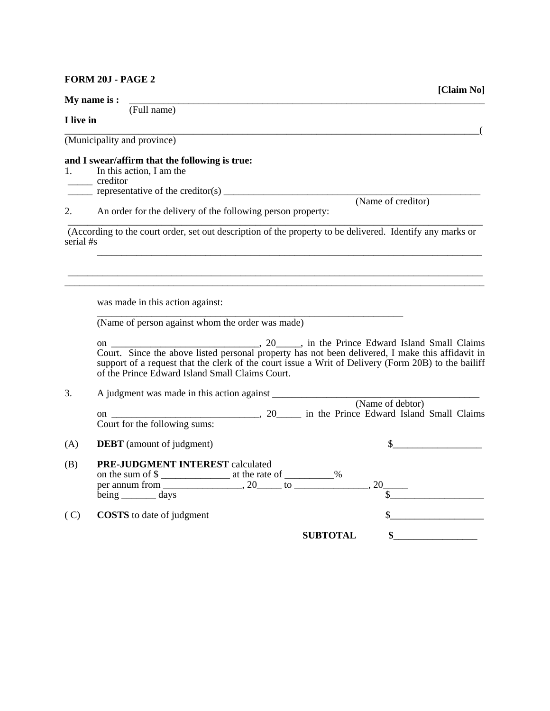### **FORM 20J - PAGE 2**

|           | My name is:                                                                                                                                                                                                                                                                                                                                                                                                                                                                                                            |
|-----------|------------------------------------------------------------------------------------------------------------------------------------------------------------------------------------------------------------------------------------------------------------------------------------------------------------------------------------------------------------------------------------------------------------------------------------------------------------------------------------------------------------------------|
| I live in | (Full name)                                                                                                                                                                                                                                                                                                                                                                                                                                                                                                            |
|           | (Municipality and province)                                                                                                                                                                                                                                                                                                                                                                                                                                                                                            |
|           | and I swear/affirm that the following is true:<br>1. In this action, I am the<br>creditor                                                                                                                                                                                                                                                                                                                                                                                                                              |
| 2.        | $\frac{1}{\sqrt{1-\frac{1}{\sqrt{1-\frac{1}{\sqrt{1-\frac{1}{\sqrt{1-\frac{1}{\sqrt{1-\frac{1}{\sqrt{1-\frac{1}{\sqrt{1-\frac{1}{\sqrt{1-\frac{1}{\sqrt{1-\frac{1}{\sqrt{1-\frac{1}{\sqrt{1-\frac{1}{\sqrt{1-\frac{1}{\sqrt{1-\frac{1}{\sqrt{1-\frac{1}{\sqrt{1-\frac{1}{\sqrt{1-\frac{1}{\sqrt{1-\frac{1}{\sqrt{1-\frac{1}{\sqrt{1-\frac{1}{\sqrt{1-\frac{1}{\sqrt{1-\frac{1}{\sqrt{1-\frac{1}{\sqrt{1-\frac{1}{\sqrt{1-\frac{1$<br>(Name of creditor)<br>An order for the delivery of the following person property: |
| serial #s | (According to the court order, set out description of the property to be delivered. Identify any marks or                                                                                                                                                                                                                                                                                                                                                                                                              |
|           | was made in this action against:<br>(Name of person against whom the order was made)                                                                                                                                                                                                                                                                                                                                                                                                                                   |
|           | Court. Since the above listed personal property has not been delivered, I make this affidavit in<br>support of a request that the clerk of the court issue a Writ of Delivery (Form 20B) to the bailiff<br>of the Prince Edward Island Small Claims Court.                                                                                                                                                                                                                                                             |
| 3.        | (Name of debtor)<br>on (INAME of debtor)<br>Court for the following sums: 20 in the Prince Edward Island Small Claims                                                                                                                                                                                                                                                                                                                                                                                                  |
| (A)       | $\sim$<br><b>DEBT</b> (amount of judgment)                                                                                                                                                                                                                                                                                                                                                                                                                                                                             |
| (B)       | PRE-JUDGMENT INTEREST calculated<br>on the sum of \$<br>$being$ ___________ days                                                                                                                                                                                                                                                                                                                                                                                                                                       |
| (C)       | <b>COSTS</b> to date of judgment<br>$\frac{1}{2}$<br><b>SUBTOTAL</b>                                                                                                                                                                                                                                                                                                                                                                                                                                                   |
|           |                                                                                                                                                                                                                                                                                                                                                                                                                                                                                                                        |

**[Claim No]**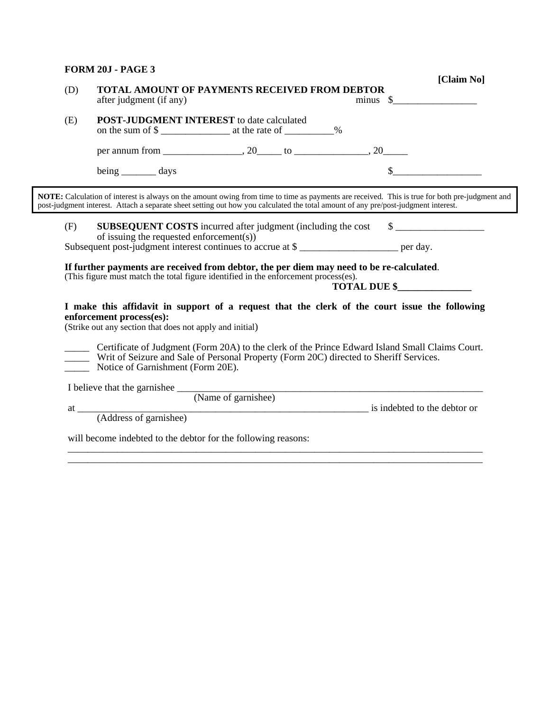### **FORM 20J - PAGE 3**

| <b>POST-JUDGMENT INTEREST</b> to date calculated<br>(E)<br>on the sum of \$<br>being _________ days<br>NOTE: Calculation of interest is always on the amount owing from time to time as payments are received. This is true for both pre-judgment and<br>post-judgment interest. Attach a separate sheet setting out how you calculated the total amount of any pre/post-judgment interest.<br><b>SUBSEQUENT COSTS</b> incurred after judgment (including the cost \$<br>(F)<br>of issuing the requested enforcement(s))<br>Subsequent post-judgment interest continues to accrue at \$<br>If further payments are received from debtor, the per diem may need to be re-calculated.<br>(This figure must match the total figure identified in the enforcement process(es).<br>TOTAL DUE \$<br>I make this affidavit in support of a request that the clerk of the court issue the following<br>enforcement process(es):<br>(Strike out any section that does not apply and initial)<br>Certificate of Judgment (Form 20A) to the clerk of the Prince Edward Island Small Claims Court.<br>Writ of Seizure and Sale of Personal Property (Form 20C) directed to Sheriff Services.<br>Notice of Garnishment (Form 20E).<br>I believe that the garnishee (Name of garnishee)<br>at (Address of garnishee) is indebted to the debtor or<br>will become indebted to the debtor for the following reasons: | TOTAL AMOUNT OF PAYMENTS RECEIVED FROM DEBTOR<br>after judgment (if any) | $minus \$ |
|------------------------------------------------------------------------------------------------------------------------------------------------------------------------------------------------------------------------------------------------------------------------------------------------------------------------------------------------------------------------------------------------------------------------------------------------------------------------------------------------------------------------------------------------------------------------------------------------------------------------------------------------------------------------------------------------------------------------------------------------------------------------------------------------------------------------------------------------------------------------------------------------------------------------------------------------------------------------------------------------------------------------------------------------------------------------------------------------------------------------------------------------------------------------------------------------------------------------------------------------------------------------------------------------------------------------------------------------------------------------------------------------------|--------------------------------------------------------------------------|-----------|
|                                                                                                                                                                                                                                                                                                                                                                                                                                                                                                                                                                                                                                                                                                                                                                                                                                                                                                                                                                                                                                                                                                                                                                                                                                                                                                                                                                                                      |                                                                          |           |
|                                                                                                                                                                                                                                                                                                                                                                                                                                                                                                                                                                                                                                                                                                                                                                                                                                                                                                                                                                                                                                                                                                                                                                                                                                                                                                                                                                                                      |                                                                          |           |
|                                                                                                                                                                                                                                                                                                                                                                                                                                                                                                                                                                                                                                                                                                                                                                                                                                                                                                                                                                                                                                                                                                                                                                                                                                                                                                                                                                                                      |                                                                          |           |
|                                                                                                                                                                                                                                                                                                                                                                                                                                                                                                                                                                                                                                                                                                                                                                                                                                                                                                                                                                                                                                                                                                                                                                                                                                                                                                                                                                                                      |                                                                          |           |
|                                                                                                                                                                                                                                                                                                                                                                                                                                                                                                                                                                                                                                                                                                                                                                                                                                                                                                                                                                                                                                                                                                                                                                                                                                                                                                                                                                                                      |                                                                          |           |
|                                                                                                                                                                                                                                                                                                                                                                                                                                                                                                                                                                                                                                                                                                                                                                                                                                                                                                                                                                                                                                                                                                                                                                                                                                                                                                                                                                                                      |                                                                          |           |
|                                                                                                                                                                                                                                                                                                                                                                                                                                                                                                                                                                                                                                                                                                                                                                                                                                                                                                                                                                                                                                                                                                                                                                                                                                                                                                                                                                                                      |                                                                          |           |
|                                                                                                                                                                                                                                                                                                                                                                                                                                                                                                                                                                                                                                                                                                                                                                                                                                                                                                                                                                                                                                                                                                                                                                                                                                                                                                                                                                                                      |                                                                          |           |
|                                                                                                                                                                                                                                                                                                                                                                                                                                                                                                                                                                                                                                                                                                                                                                                                                                                                                                                                                                                                                                                                                                                                                                                                                                                                                                                                                                                                      |                                                                          |           |
|                                                                                                                                                                                                                                                                                                                                                                                                                                                                                                                                                                                                                                                                                                                                                                                                                                                                                                                                                                                                                                                                                                                                                                                                                                                                                                                                                                                                      |                                                                          |           |
|                                                                                                                                                                                                                                                                                                                                                                                                                                                                                                                                                                                                                                                                                                                                                                                                                                                                                                                                                                                                                                                                                                                                                                                                                                                                                                                                                                                                      |                                                                          |           |
|                                                                                                                                                                                                                                                                                                                                                                                                                                                                                                                                                                                                                                                                                                                                                                                                                                                                                                                                                                                                                                                                                                                                                                                                                                                                                                                                                                                                      |                                                                          |           |
|                                                                                                                                                                                                                                                                                                                                                                                                                                                                                                                                                                                                                                                                                                                                                                                                                                                                                                                                                                                                                                                                                                                                                                                                                                                                                                                                                                                                      |                                                                          |           |
|                                                                                                                                                                                                                                                                                                                                                                                                                                                                                                                                                                                                                                                                                                                                                                                                                                                                                                                                                                                                                                                                                                                                                                                                                                                                                                                                                                                                      |                                                                          |           |

**[Claim No]**